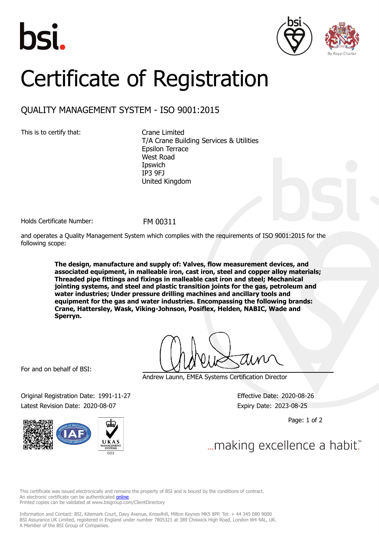





## Certificate of Registration

## QUALITY MANAGEMENT SYSTEM - ISO 9001:2015

This is to certify that: Crane Limited

T/A Crane Building Services & Utilities Epsilon Terrace West Road **I**pswich IP3 9FJ United Kingdom

Holds Certificate Number: FM 00311

and operates a Quality Management System which complies with the requirements of ISO 9001:2015 for the following scope:

> **The design, manufacture and supply of: Valves, flow measurement devices, and associated equipment, in malleable iron, cast iron, steel and copper alloy materials; Threaded pipe fittings and fixings in malleable cast iron and steel; Mechanical jointing systems, and steel and plastic transition joints for the gas, petroleum and water industries; Under pressure drilling machines and ancillary tools and equipment for the gas and water industries. Encompassing the following brands: Crane, Hattersley, Wask, Viking-Johnson, Posiflex, Helden, NABIC, Wade and Sperryn.**

For and on behalf of BSI:

Andrew Launn, EMEA Systems Certification Director

Original Registration Date: 1991-11-27 Effective Date: 2020-08-26 Latest Revision Date: 2020-08-07 expiry Date: 2023-08-25

Page: 1 of 2

... making excellence a habit."

This certificate was issued electronically and remains the property of BSI and is bound by the conditions of contract. An electronic certificate can be authenticated **[online](https://pgplus.bsigroup.com/CertificateValidation/CertificateValidator.aspx?CertificateNumber=FM+00311&ReIssueDate=07%2f08%2f2020&Template=uk)**. Printed copies can be validated at www.bsigroup.com/ClientDirectory

Information and Contact: BSI, Kitemark Court, Davy Avenue, Knowlhill, Milton Keynes MK5 8PP. Tel: + 44 345 080 9000 BSI Assurance UK Limited, registered in England under number 7805321 at 389 Chiswick High Road, London W4 4AL, UK. A Member of the BSI Group of Companies.